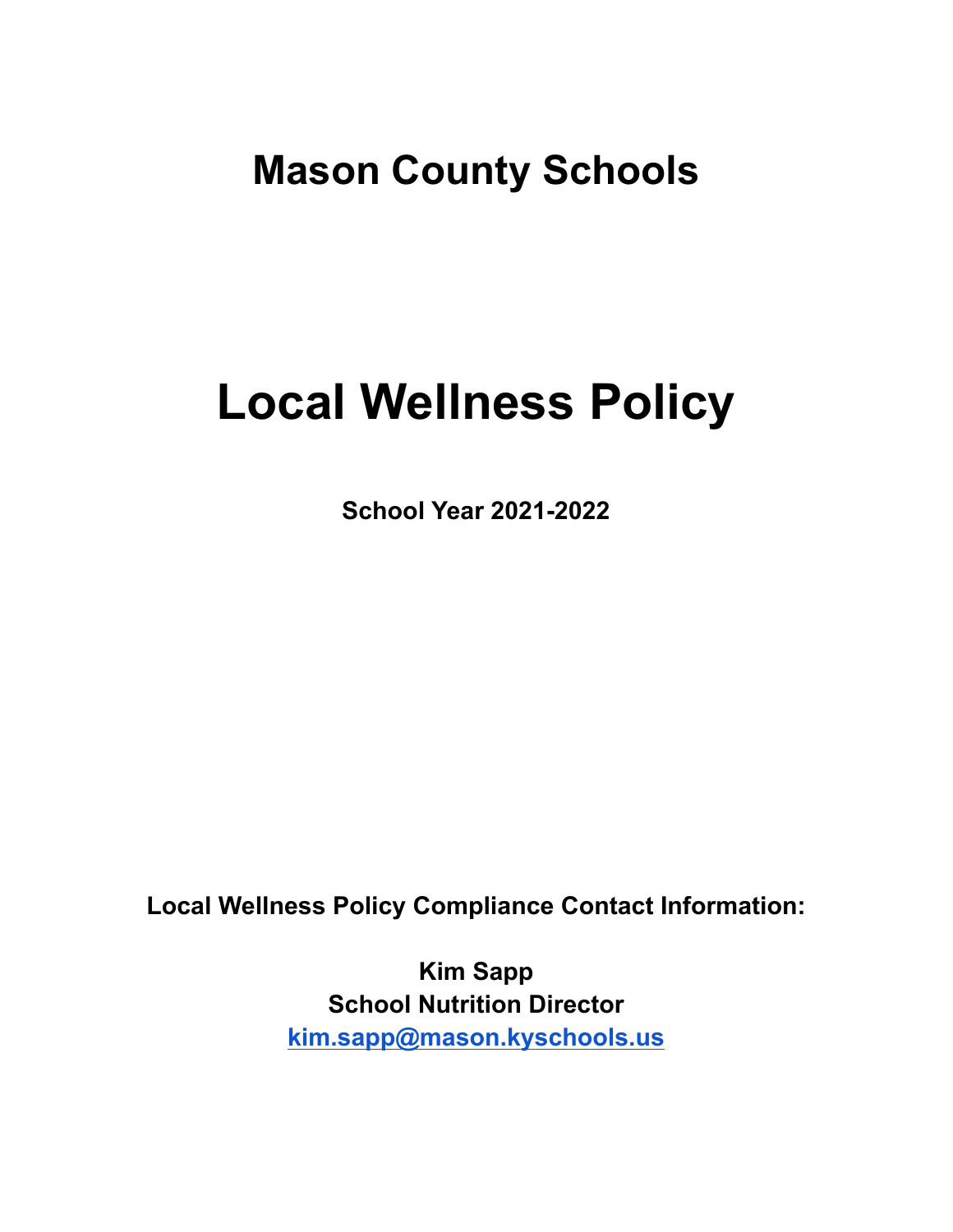# **Mason County Schools**

# **Local Wellness Policy**

**School Year 2021-2022**

**Local Wellness Policy Compliance Contact Information:**

**Kim Sapp School Nutrition Director [kim.sapp@mason.kyschools.us](mailto:kim.sapp@mason.kyschools.us)**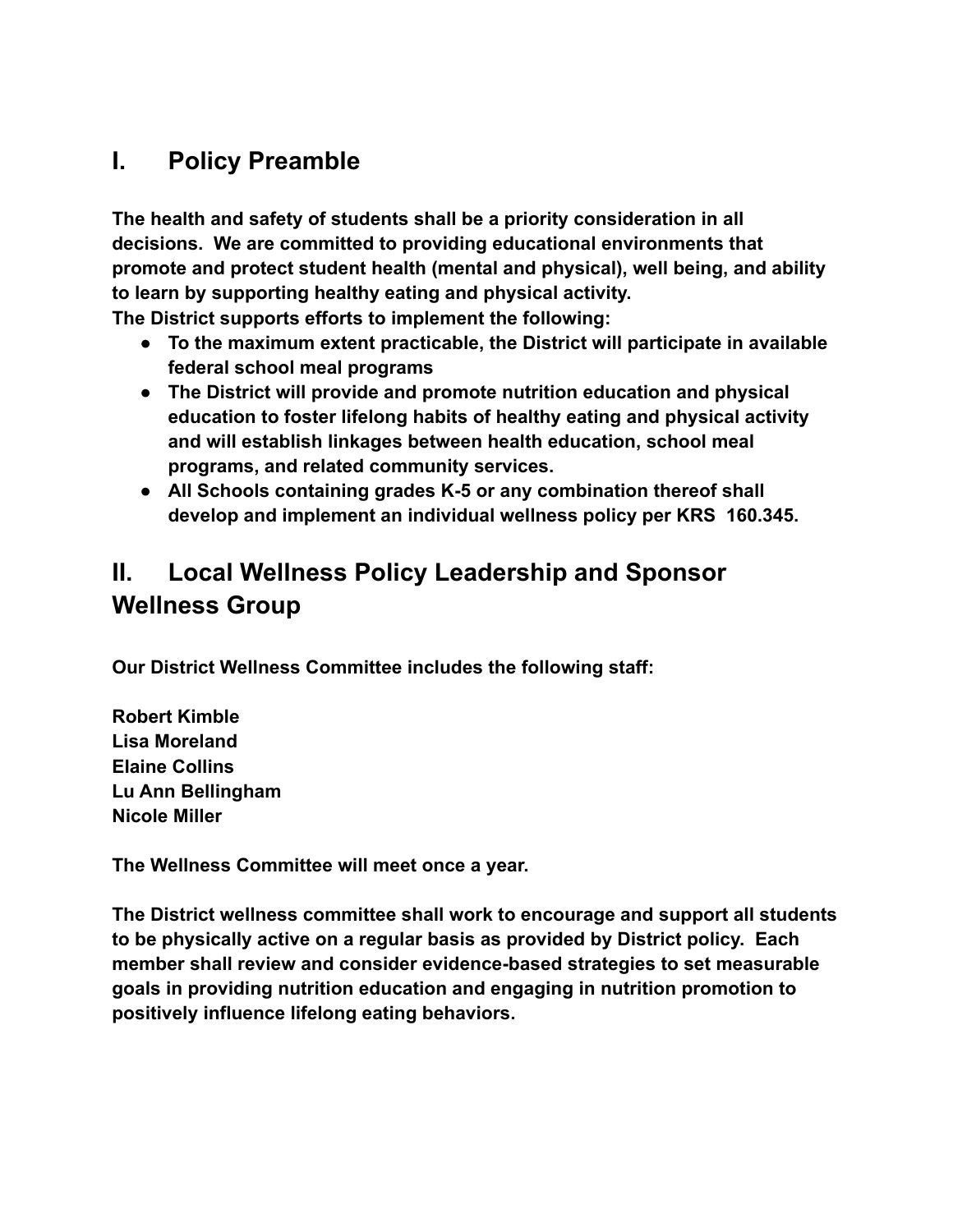# **I. Policy Preamble**

**The health and safety of students shall be a priority consideration in all decisions. We are committed to providing educational environments that promote and protect student health (mental and physical), well being, and ability to learn by supporting healthy eating and physical activity.**

**The District supports efforts to implement the following:**

- **● To the maximum extent practicable, the District will participate in available federal school meal programs**
- **● The District will provide and promote nutrition education and physical education to foster lifelong habits of healthy eating and physical activity and will establish linkages between health education, school meal programs, and related community services.**
- **● All Schools containing grades K-5 or any combination thereof shall develop and implement an individual wellness policy per KRS 160.345.**

# **II. Local Wellness Policy Leadership and Sponsor Wellness Group**

**Our District Wellness Committee includes the following staff:**

**Robert Kimble Lisa Moreland Elaine Collins Lu Ann Bellingham Nicole Miller**

**The Wellness Committee will meet once a year.**

**The District wellness committee shall work to encourage and support all students to be physically active on a regular basis as provided by District policy. Each member shall review and consider evidence-based strategies to set measurable goals in providing nutrition education and engaging in nutrition promotion to positively influence lifelong eating behaviors.**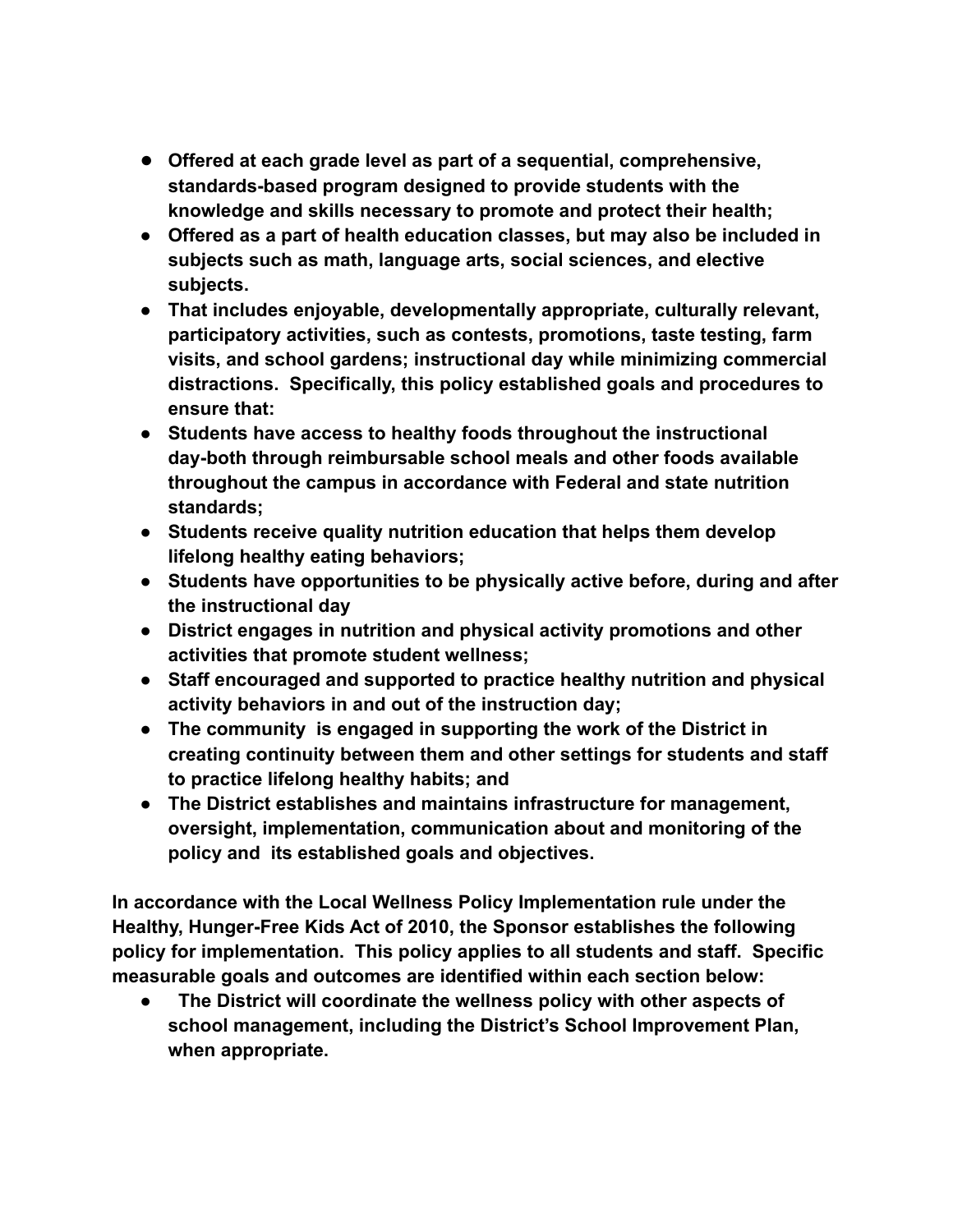- **● Offered at each grade level as part of a sequential, comprehensive, standards-based program designed to provide students with the knowledge and skills necessary to promote and protect their health;**
- **● Offered as a part of health education classes, but may also be included in subjects such as math, language arts, social sciences, and elective subjects.**
- **● That includes enjoyable, developmentally appropriate, culturally relevant, participatory activities, such as contests, promotions, taste testing, farm visits, and school gardens; instructional day while minimizing commercial distractions. Specifically, this policy established goals and procedures to ensure that:**
- **● Students have access to healthy foods throughout the instructional day-both through reimbursable school meals and other foods available throughout the campus in accordance with Federal and state nutrition standards;**
- **● Students receive quality nutrition education that helps them develop lifelong healthy eating behaviors;**
- **● Students have opportunities to be physically active before, during and after the instructional day**
- **● District engages in nutrition and physical activity promotions and other activities that promote student wellness;**
- **● Staff encouraged and supported to practice healthy nutrition and physical activity behaviors in and out of the instruction day;**
- **● The community is engaged in supporting the work of the District in creating continuity between them and other settings for students and staff to practice lifelong healthy habits; and**
- **● The District establishes and maintains infrastructure for management, oversight, implementation, communication about and monitoring of the policy and its established goals and objectives.**

**In accordance with the Local Wellness Policy Implementation rule under the Healthy, Hunger-Free Kids Act of 2010, the Sponsor establishes the following policy for implementation. This policy applies to all students and staff. Specific measurable goals and outcomes are identified within each section below:**

**● The District will coordinate the wellness policy with other aspects of school management, including the District's School Improvement Plan, when appropriate.**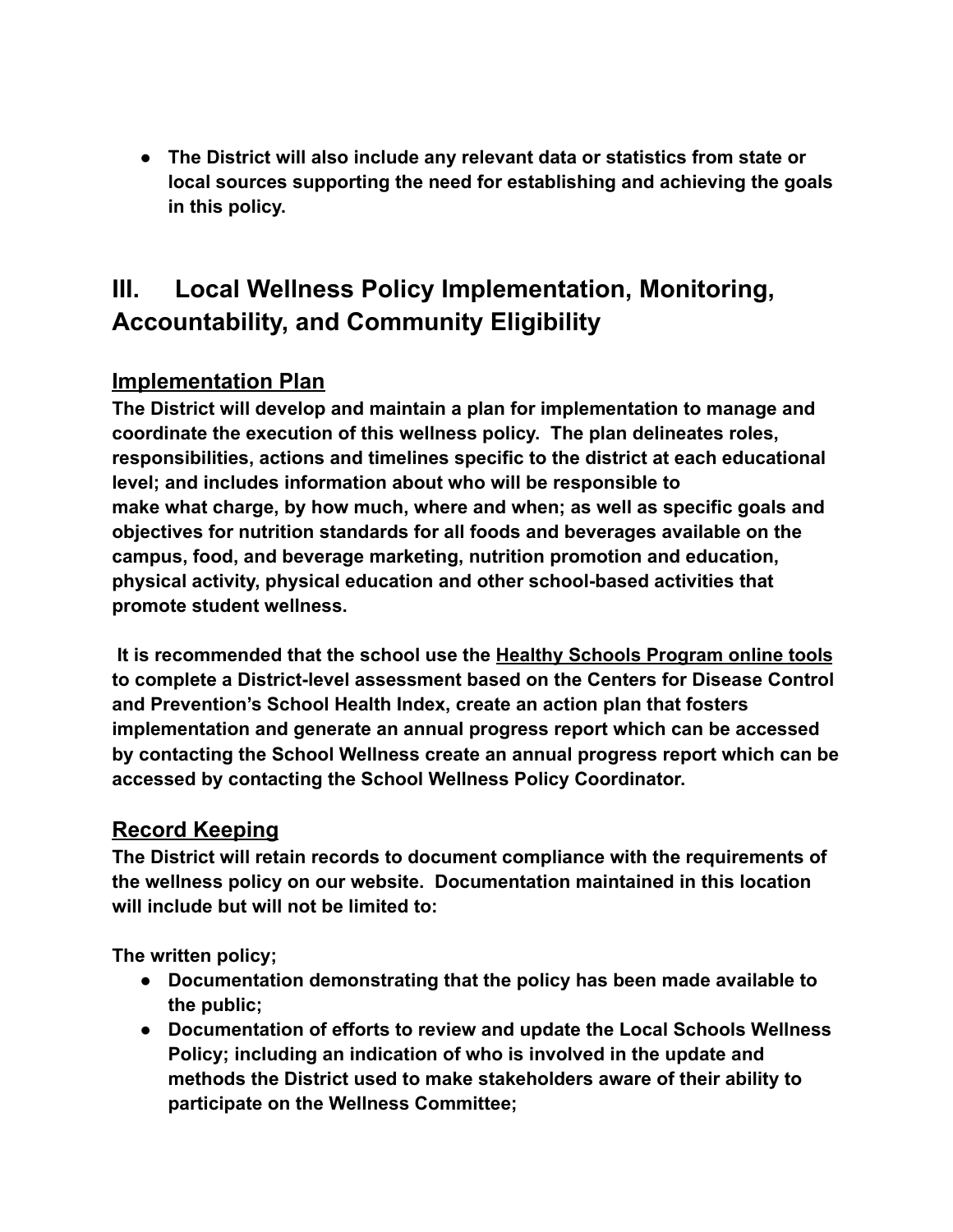**● The District will also include any relevant data or statistics from state or local sources supporting the need for establishing and achieving the goals in this policy.**

# **III. Local Wellness Policy Implementation, Monitoring, Accountability, and Community Eligibility**

# **Implementation Plan**

**The District will develop and maintain a plan for implementation to manage and coordinate the execution of this wellness policy. The plan delineates roles, responsibilities, actions and timelines specific to the district at each educational level; and includes information about who will be responsible to make what charge, by how much, where and when; as well as specific goals and objectives for nutrition standards for all foods and beverages available on the campus, food, and beverage marketing, nutrition promotion and education, physical activity, physical education and other school-based activities that promote student wellness.**

**It is recommended that the school use the Healthy Schools Program online tools to complete a District-level assessment based on the Centers for Disease Control and Prevention's School Health Index, create an action plan that fosters implementation and generate an annual progress report which can be accessed by contacting the School Wellness create an annual progress report which can be accessed by contacting the School Wellness Policy Coordinator.**

# **Record Keeping**

**The District will retain records to document compliance with the requirements of the wellness policy on our website. Documentation maintained in this location will include but will not be limited to:**

**The written policy;**

- **● Documentation demonstrating that the policy has been made available to the public;**
- **● Documentation of efforts to review and update the Local Schools Wellness Policy; including an indication of who is involved in the update and methods the District used to make stakeholders aware of their ability to participate on the Wellness Committee;**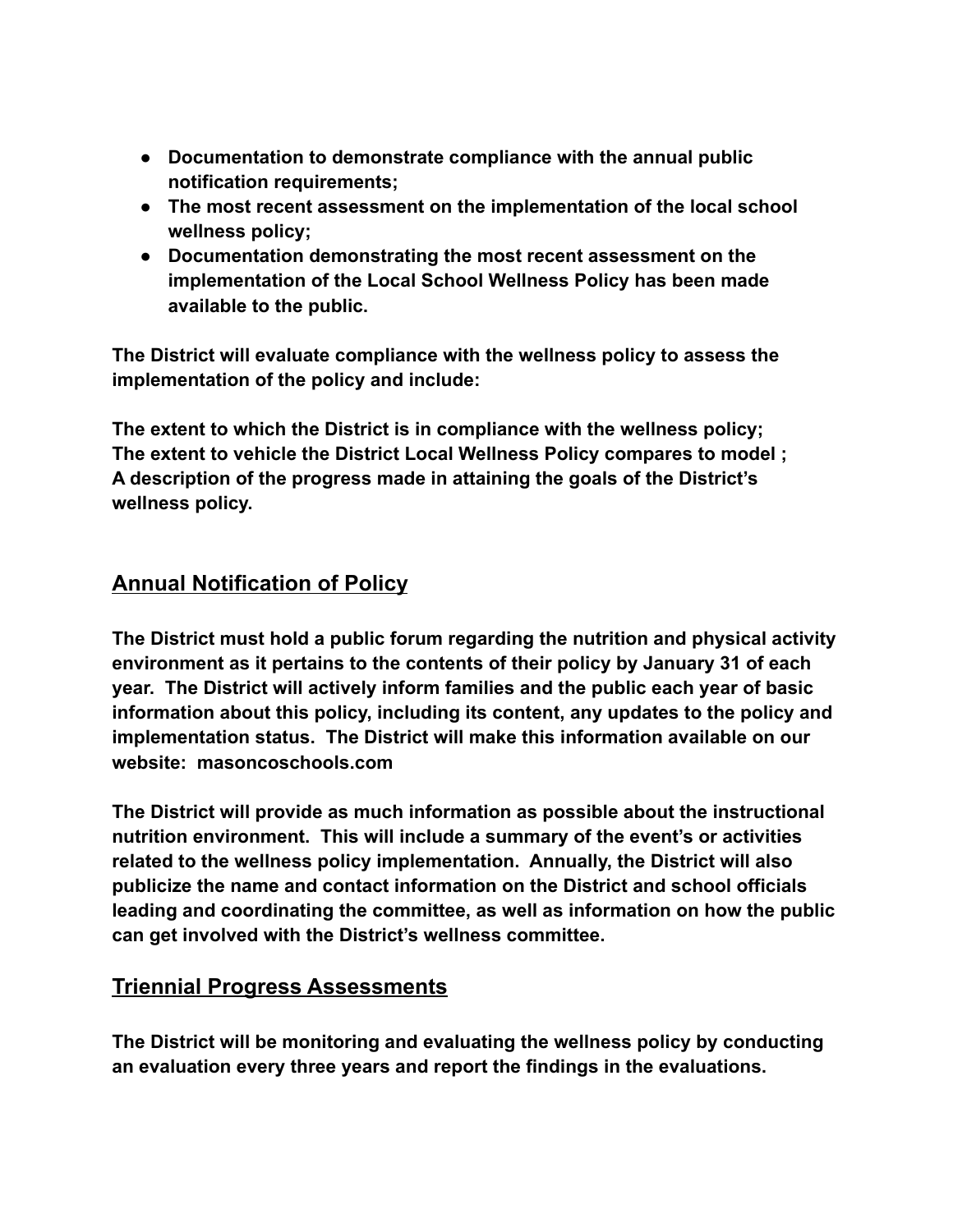- **● Documentation to demonstrate compliance with the annual public notification requirements;**
- **● The most recent assessment on the implementation of the local school wellness policy;**
- **● Documentation demonstrating the most recent assessment on the implementation of the Local School Wellness Policy has been made available to the public.**

**The District will evaluate compliance with the wellness policy to assess the implementation of the policy and include:**

**The extent to which the District is in compliance with the wellness policy; The extent to vehicle the District Local Wellness Policy compares to model ; A description of the progress made in attaining the goals of the District's wellness policy.**

# **Annual Notification of Policy**

**The District must hold a public forum regarding the nutrition and physical activity environment as it pertains to the contents of their policy by January 31 of each year. The District will actively inform families and the public each year of basic information about this policy, including its content, any updates to the policy and implementation status. The District will make this information available on our website: masoncoschools.com**

**The District will provide as much information as possible about the instructional nutrition environment. This will include a summary of the event's or activities related to the wellness policy implementation. Annually, the District will also publicize the name and contact information on the District and school officials leading and coordinating the committee, as well as information on how the public can get involved with the District's wellness committee.**

# **Triennial Progress Assessments**

**The District will be monitoring and evaluating the wellness policy by conducting an evaluation every three years and report the findings in the evaluations.**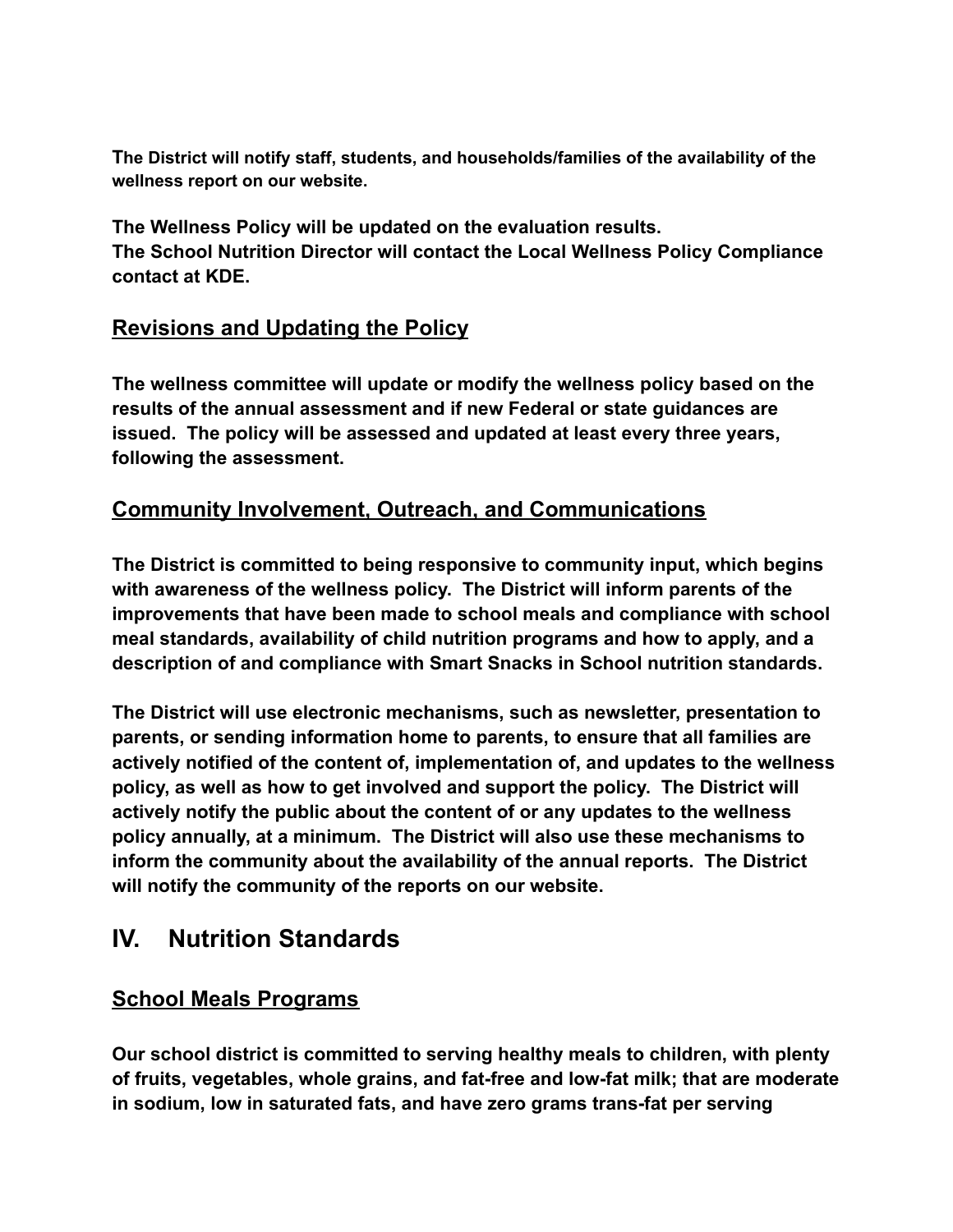**The District will notify staff, students, and households/families of the availability of the wellness report on our website.**

**The Wellness Policy will be updated on the evaluation results. The School Nutrition Director will contact the Local Wellness Policy Compliance contact at KDE.**

# **Revisions and Updating the Policy**

**The wellness committee will update or modify the wellness policy based on the results of the annual assessment and if new Federal or state guidances are issued. The policy will be assessed and updated at least every three years, following the assessment.**

# **Community Involvement, Outreach, and Communications**

**The District is committed to being responsive to community input, which begins with awareness of the wellness policy. The District will inform parents of the improvements that have been made to school meals and compliance with school meal standards, availability of child nutrition programs and how to apply, and a description of and compliance with Smart Snacks in School nutrition standards.**

**The District will use electronic mechanisms, such as newsletter, presentation to parents, or sending information home to parents, to ensure that all families are actively notified of the content of, implementation of, and updates to the wellness policy, as well as how to get involved and support the policy. The District will actively notify the public about the content of or any updates to the wellness policy annually, at a minimum. The District will also use these mechanisms to inform the community about the availability of the annual reports. The District will notify the community of the reports on our website.**

# **IV. Nutrition Standards**

# **School Meals Programs**

**Our school district is committed to serving healthy meals to children, with plenty of fruits, vegetables, whole grains, and fat-free and low-fat milk; that are moderate in sodium, low in saturated fats, and have zero grams trans-fat per serving**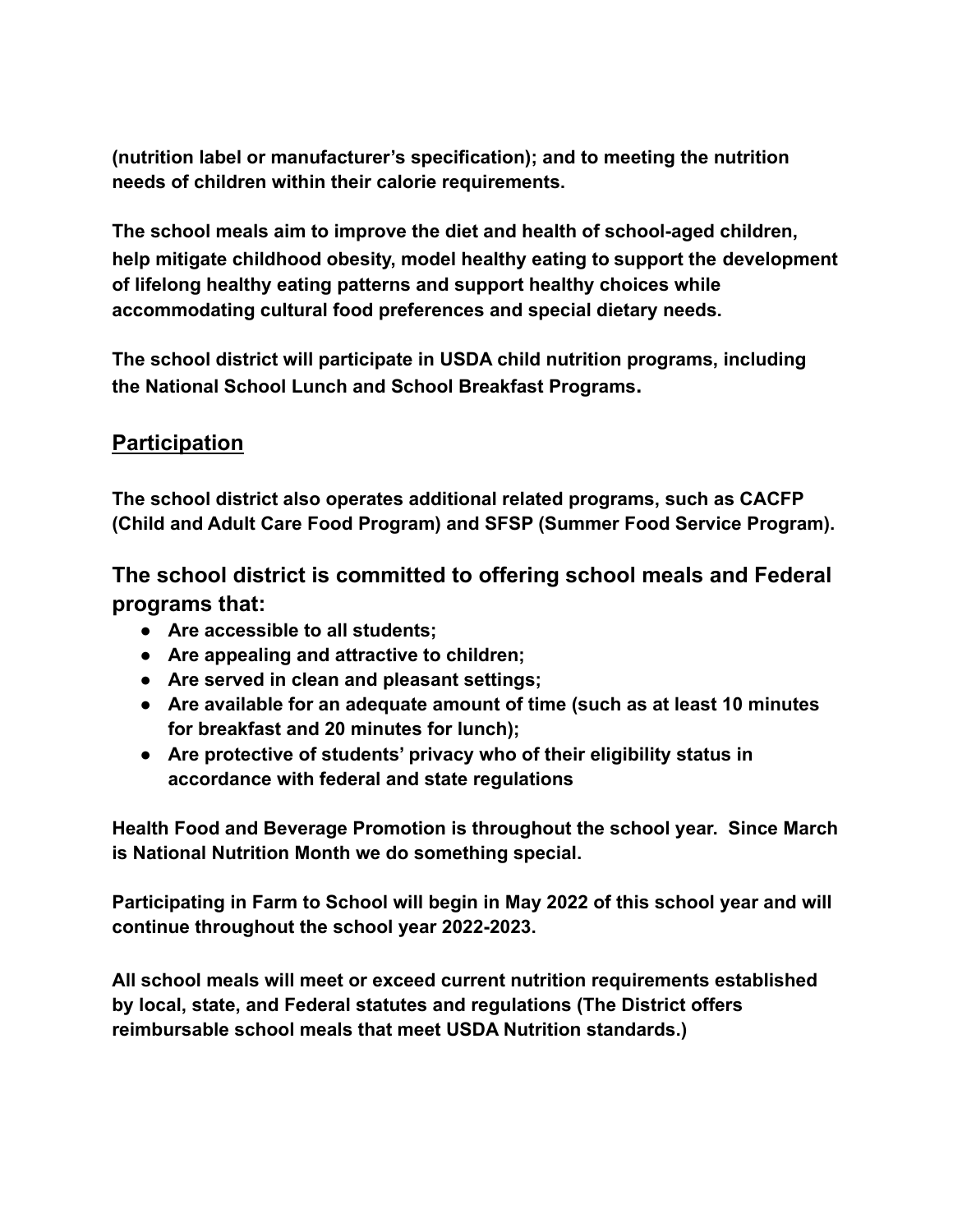**(nutrition label or manufacturer's specification); and to meeting the nutrition needs of children within their calorie requirements.**

**The school meals aim to improve the diet and health of school-aged children, help mitigate childhood obesity, model healthy eating to support the development of lifelong healthy eating patterns and support healthy choices while accommodating cultural food preferences and special dietary needs.**

**The school district will participate in USDA child nutrition programs, including the National School Lunch and School Breakfast Programs.**

# **Participation**

**The school district also operates additional related programs, such as CACFP (Child and Adult Care Food Program) and SFSP (Summer Food Service Program).**

**The school district is committed to offering school meals and Federal programs that:**

- **● Are accessible to all students;**
- **● Are appealing and attractive to children;**
- **● Are served in clean and pleasant settings;**
- **● Are available for an adequate amount of time (such as at least 10 minutes for breakfast and 20 minutes for lunch);**
- **● Are protective of students' privacy who of their eligibility status in accordance with federal and state regulations**

**Health Food and Beverage Promotion is throughout the school year. Since March is National Nutrition Month we do something special.**

**Participating in Farm to School will begin in May 2022 of this school year and will continue throughout the school year 2022-2023.**

**All school meals will meet or exceed current nutrition requirements established by local, state, and Federal statutes and regulations (The District offers reimbursable school meals that meet USDA Nutrition standards.)**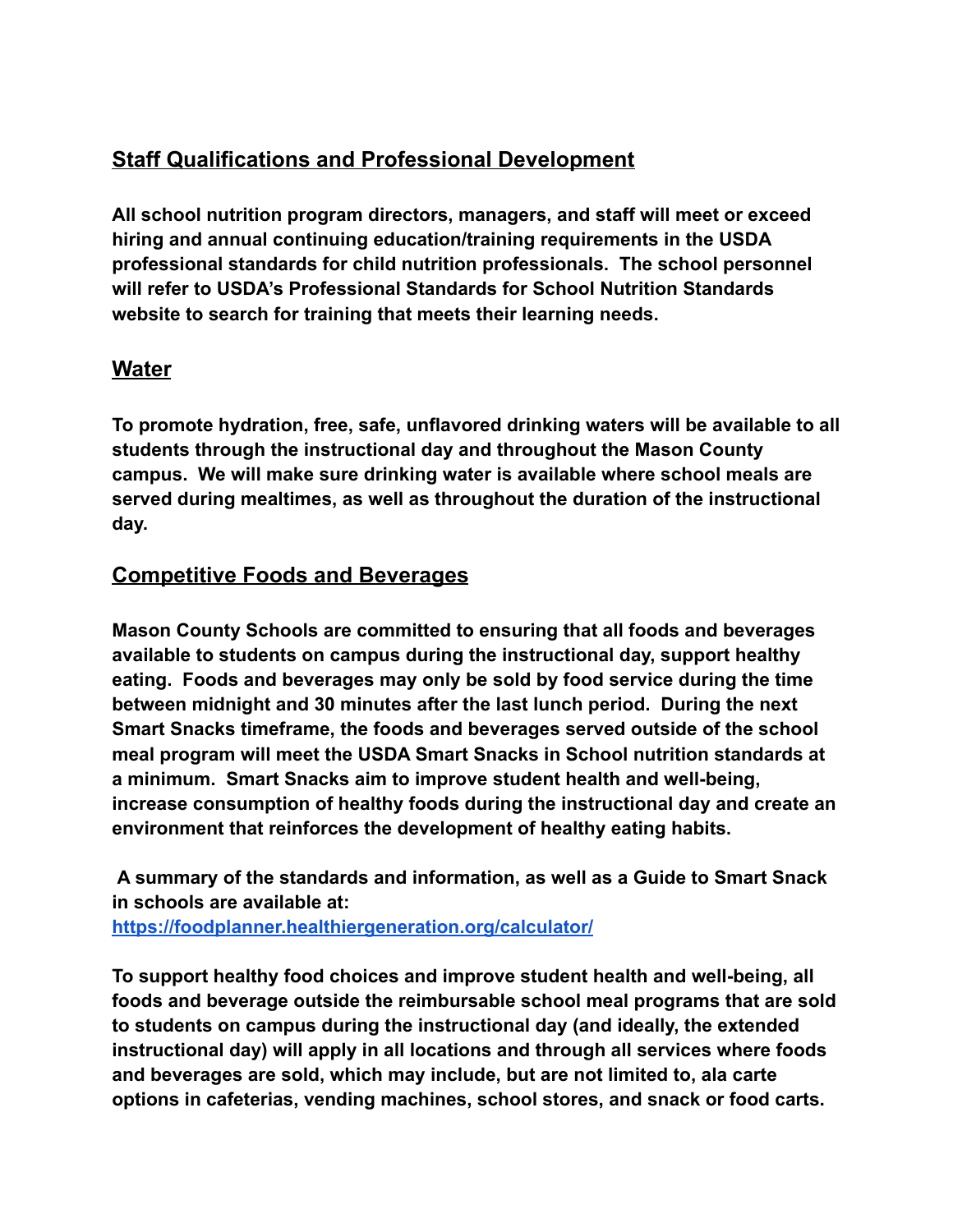# **Staff Qualifications and Professional Development**

**All school nutrition program directors, managers, and staff will meet or exceed hiring and annual continuing education/training requirements in the USDA professional standards for child nutrition professionals. The school personnel will refer to USDA's Professional Standards for School Nutrition Standards website to search for training that meets their learning needs.**

# **Water**

**To promote hydration, free, safe, unflavored drinking waters will be available to all students through the instructional day and throughout the Mason County campus. We will make sure drinking water is available where school meals are served during mealtimes, as well as throughout the duration of the instructional day.**

# **Competitive Foods and Beverages**

**Mason County Schools are committed to ensuring that all foods and beverages available to students on campus during the instructional day, support healthy eating. Foods and beverages may only be sold by food service during the time between midnight and 30 minutes after the last lunch period. During the next Smart Snacks timeframe, the foods and beverages served outside of the school meal program will meet the USDA Smart Snacks in School nutrition standards at a minimum. Smart Snacks aim to improve student health and well-being, increase consumption of healthy foods during the instructional day and create an environment that reinforces the development of healthy eating habits.**

**A summary of the standards and information, as well as a Guide to Smart Snack in schools are available at: <https://foodplanner.healthiergeneration.org/calculator/>**

**To support healthy food choices and improve student health and well-being, all foods and beverage outside the reimbursable school meal programs that are sold to students on campus during the instructional day (and ideally, the extended instructional day) will apply in all locations and through all services where foods and beverages are sold, which may include, but are not limited to, ala carte options in cafeterias, vending machines, school stores, and snack or food carts.**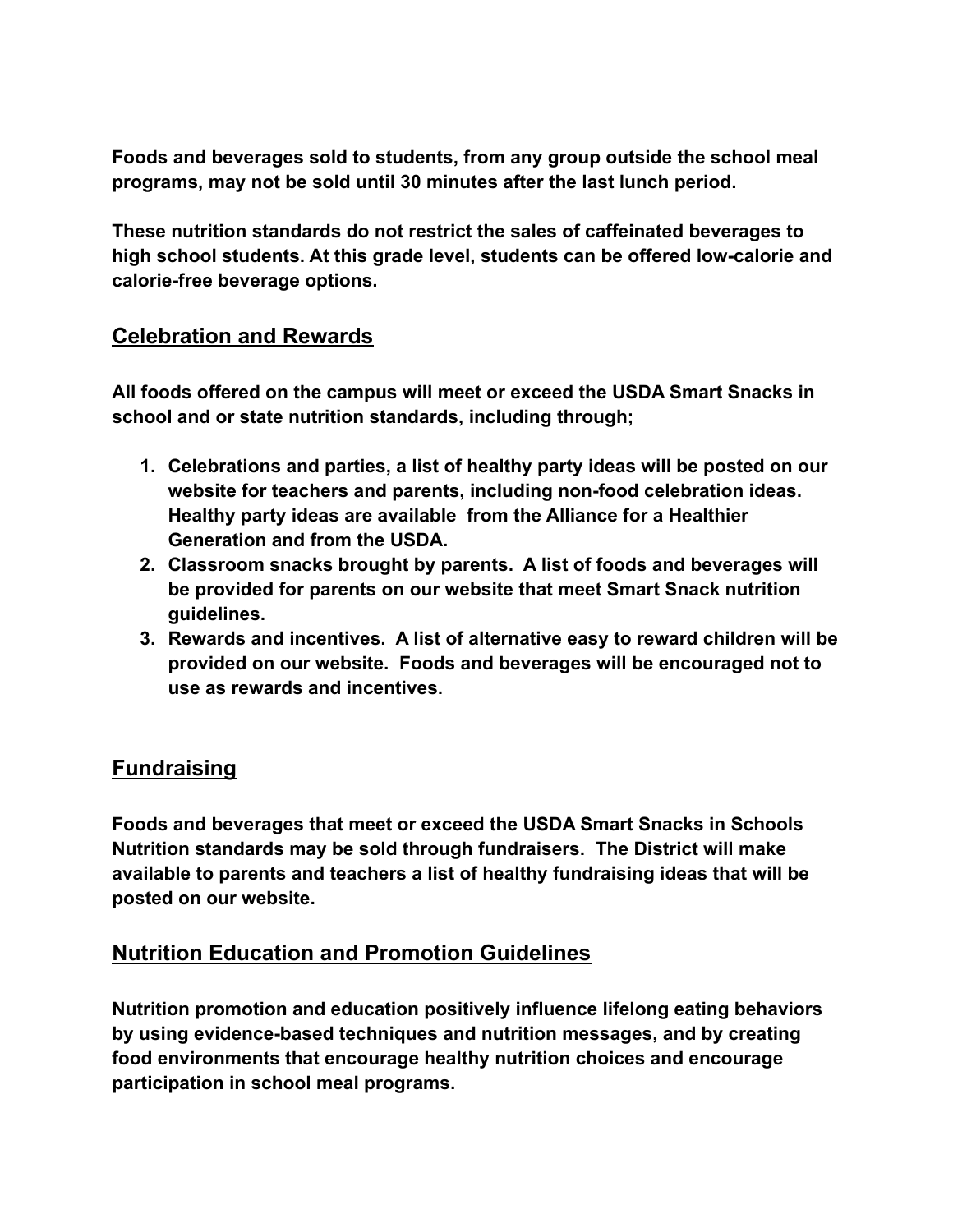**Foods and beverages sold to students, from any group outside the school meal programs, may not be sold until 30 minutes after the last lunch period.**

**These nutrition standards do not restrict the sales of caffeinated beverages to high school students. At this grade level, students can be offered low-calorie and calorie-free beverage options.**

#### **Celebration and Rewards**

**All foods offered on the campus will meet or exceed the USDA Smart Snacks in school and or state nutrition standards, including through;**

- **1. Celebrations and parties, a list of healthy party ideas will be posted on our website for teachers and parents, including non-food celebration ideas. Healthy party ideas are available from the Alliance for a Healthier Generation and from the USDA.**
- **2. Classroom snacks brought by parents. A list of foods and beverages will be provided for parents on our website that meet Smart Snack nutrition guidelines.**
- **3. Rewards and incentives. A list of alternative easy to reward children will be provided on our website. Foods and beverages will be encouraged not to use as rewards and incentives.**

# **Fundraising**

**Foods and beverages that meet or exceed the USDA Smart Snacks in Schools Nutrition standards may be sold through fundraisers. The District will make available to parents and teachers a list of healthy fundraising ideas that will be posted on our website.**

# **Nutrition Education and Promotion Guidelines**

**Nutrition promotion and education positively influence lifelong eating behaviors by using evidence-based techniques and nutrition messages, and by creating food environments that encourage healthy nutrition choices and encourage participation in school meal programs.**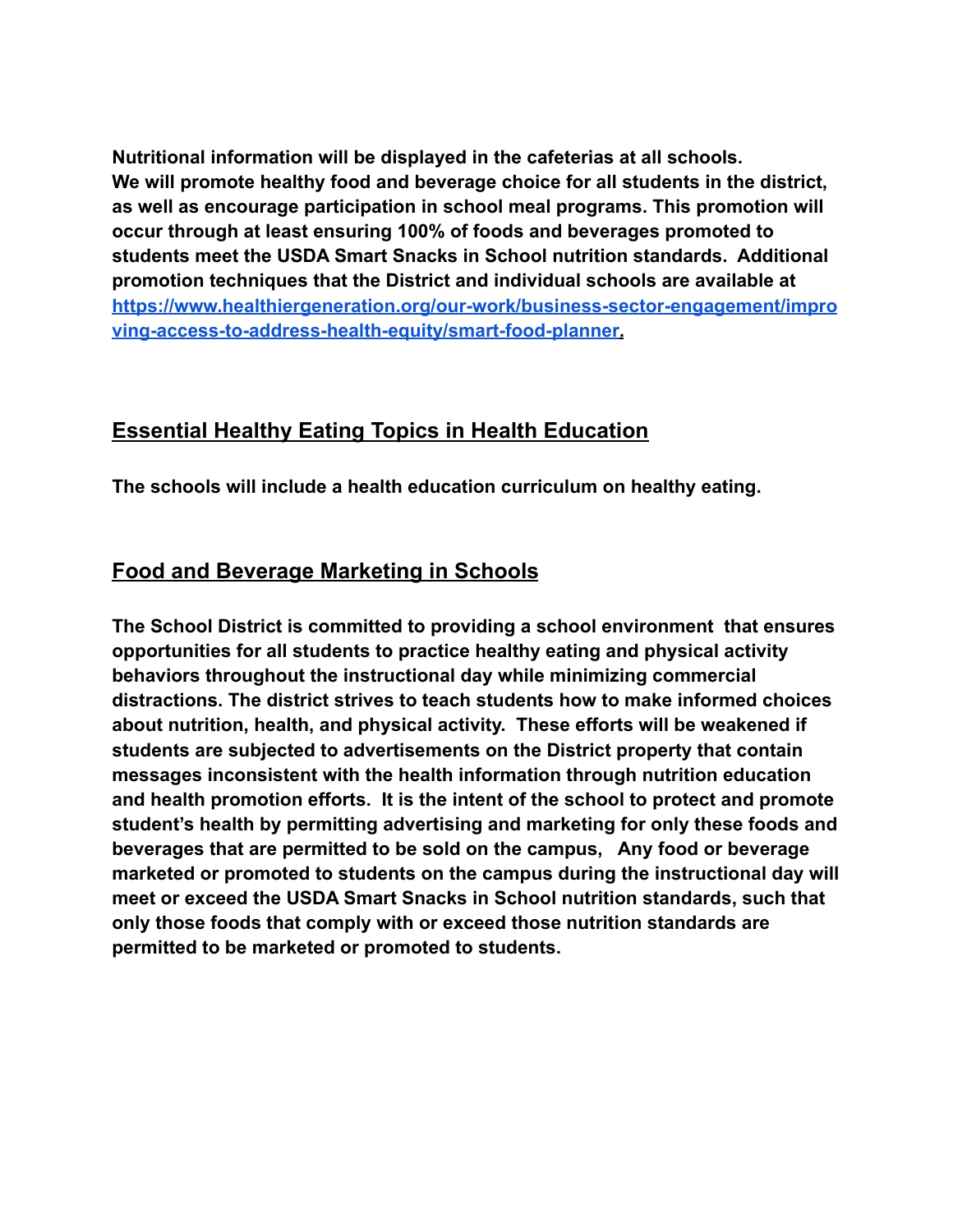**Nutritional information will be displayed in the cafeterias at all schools. We will promote healthy food and beverage choice for all students in the district, as well as encourage participation in school meal programs. This promotion will occur through at least ensuring 100% of foods and beverages promoted to students meet the USDA Smart Snacks in School nutrition standards. Additional promotion techniques that the District and individual schools are available at [https://www.healthiergeneration.org/our-work/business-sector-engagement/impro](https://www.healthiergeneration.org/our-work/business-sector-engagement/improving-access-to-address-health-equity/smart-food-planner) [ving-access-to-address-health-equity/smart-food-planner](https://www.healthiergeneration.org/our-work/business-sector-engagement/improving-access-to-address-health-equity/smart-food-planner).**

# **Essential Healthy Eating Topics in Health Education**

**The schools will include a health education curriculum on healthy eating.**

# **Food and Beverage Marketing in Schools**

**The School District is committed to providing a school environment that ensures opportunities for all students to practice healthy eating and physical activity behaviors throughout the instructional day while minimizing commercial distractions. The district strives to teach students how to make informed choices about nutrition, health, and physical activity. These efforts will be weakened if students are subjected to advertisements on the District property that contain messages inconsistent with the health information through nutrition education and health promotion efforts. It is the intent of the school to protect and promote student's health by permitting advertising and marketing for only these foods and beverages that are permitted to be sold on the campus, Any food or beverage marketed or promoted to students on the campus during the instructional day will meet or exceed the USDA Smart Snacks in School nutrition standards, such that only those foods that comply with or exceed those nutrition standards are permitted to be marketed or promoted to students.**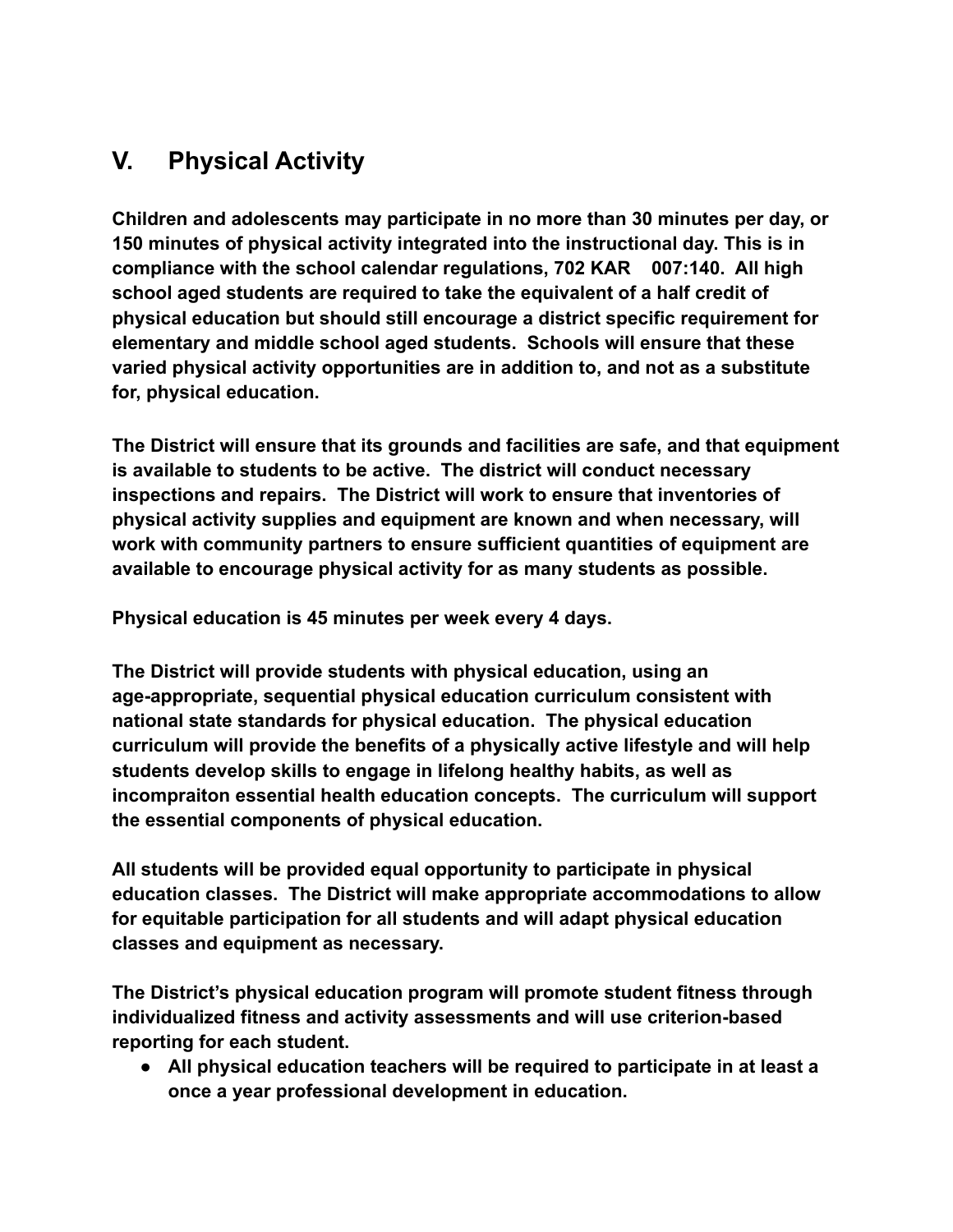# **V. Physical Activity**

**Children and adolescents may participate in no more than 30 minutes per day, or 150 minutes of physical activity integrated into the instructional day. This is in compliance with the school calendar regulations, 702 KAR 007:140. All high school aged students are required to take the equivalent of a half credit of physical education but should still encourage a district specific requirement for elementary and middle school aged students. Schools will ensure that these varied physical activity opportunities are in addition to, and not as a substitute for, physical education.**

**The District will ensure that its grounds and facilities are safe, and that equipment is available to students to be active. The district will conduct necessary inspections and repairs. The District will work to ensure that inventories of physical activity supplies and equipment are known and when necessary, will work with community partners to ensure sufficient quantities of equipment are available to encourage physical activity for as many students as possible.**

**Physical education is 45 minutes per week every 4 days.**

**The District will provide students with physical education, using an age-appropriate, sequential physical education curriculum consistent with national state standards for physical education. The physical education curriculum will provide the benefits of a physically active lifestyle and will help students develop skills to engage in lifelong healthy habits, as well as incompraiton essential health education concepts. The curriculum will support the essential components of physical education.**

**All students will be provided equal opportunity to participate in physical education classes. The District will make appropriate accommodations to allow for equitable participation for all students and will adapt physical education classes and equipment as necessary.**

**The District's physical education program will promote student fitness through individualized fitness and activity assessments and will use criterion-based reporting for each student.**

**● All physical education teachers will be required to participate in at least a once a year professional development in education.**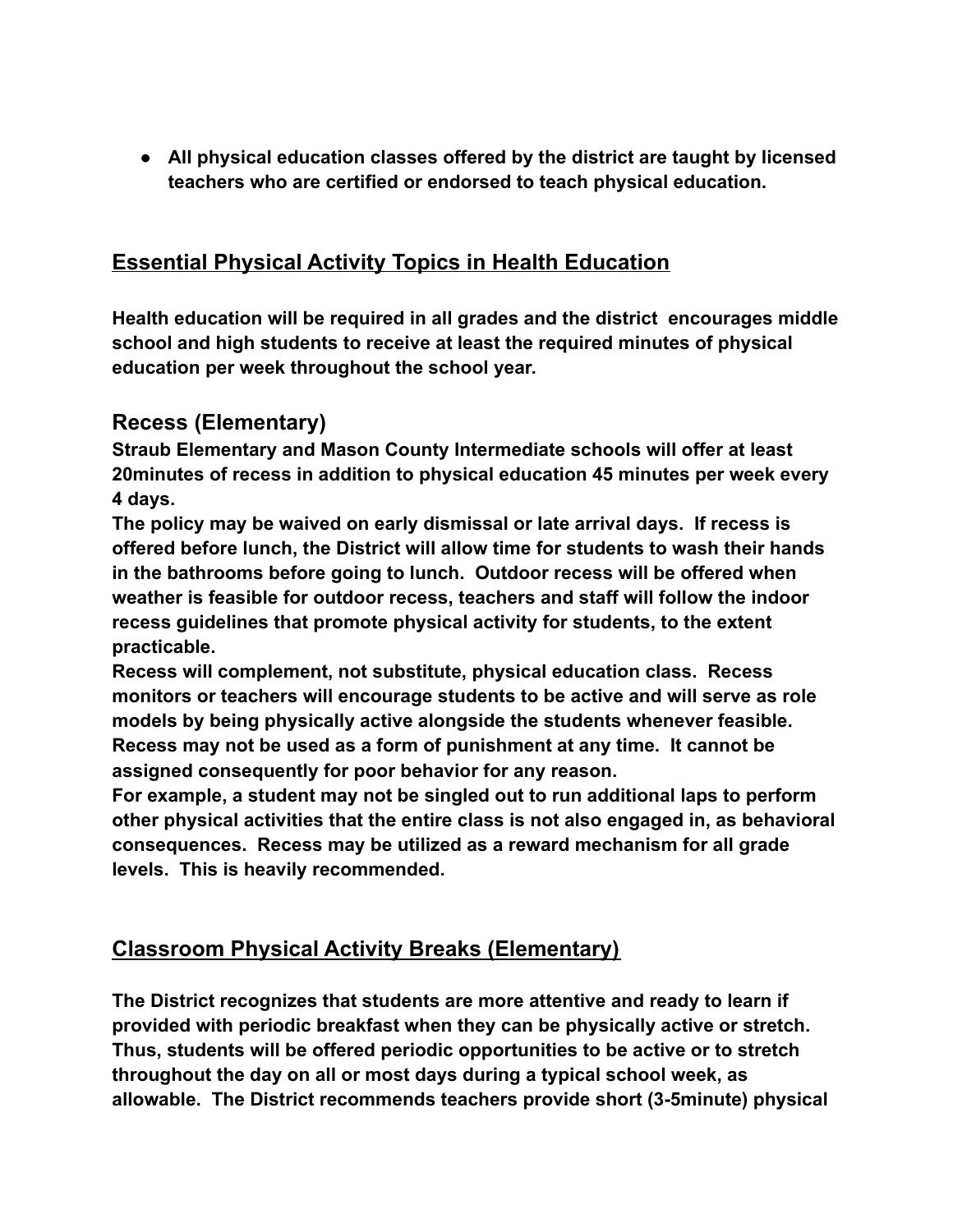**● All physical education classes offered by the district are taught by licensed teachers who are certified or endorsed to teach physical education.**

# **Essential Physical Activity Topics in Health Education**

**Health education will be required in all grades and the district encourages middle school and high students to receive at least the required minutes of physical education per week throughout the school year.**

# **Recess (Elementary)**

**Straub Elementary and Mason County Intermediate schools will offer at least 20minutes of recess in addition to physical education 45 minutes per week every 4 days.**

**The policy may be waived on early dismissal or late arrival days. If recess is offered before lunch, the District will allow time for students to wash their hands in the bathrooms before going to lunch. Outdoor recess will be offered when weather is feasible for outdoor recess, teachers and staff will follow the indoor recess guidelines that promote physical activity for students, to the extent practicable.**

**Recess will complement, not substitute, physical education class. Recess monitors or teachers will encourage students to be active and will serve as role models by being physically active alongside the students whenever feasible. Recess may not be used as a form of punishment at any time. It cannot be assigned consequently for poor behavior for any reason.**

**For example, a student may not be singled out to run additional laps to perform other physical activities that the entire class is not also engaged in, as behavioral consequences. Recess may be utilized as a reward mechanism for all grade levels. This is heavily recommended.**

# **Classroom Physical Activity Breaks (Elementary)**

**The District recognizes that students are more attentive and ready to learn if provided with periodic breakfast when they can be physically active or stretch. Thus, students will be offered periodic opportunities to be active or to stretch throughout the day on all or most days during a typical school week, as allowable. The District recommends teachers provide short (3-5minute) physical**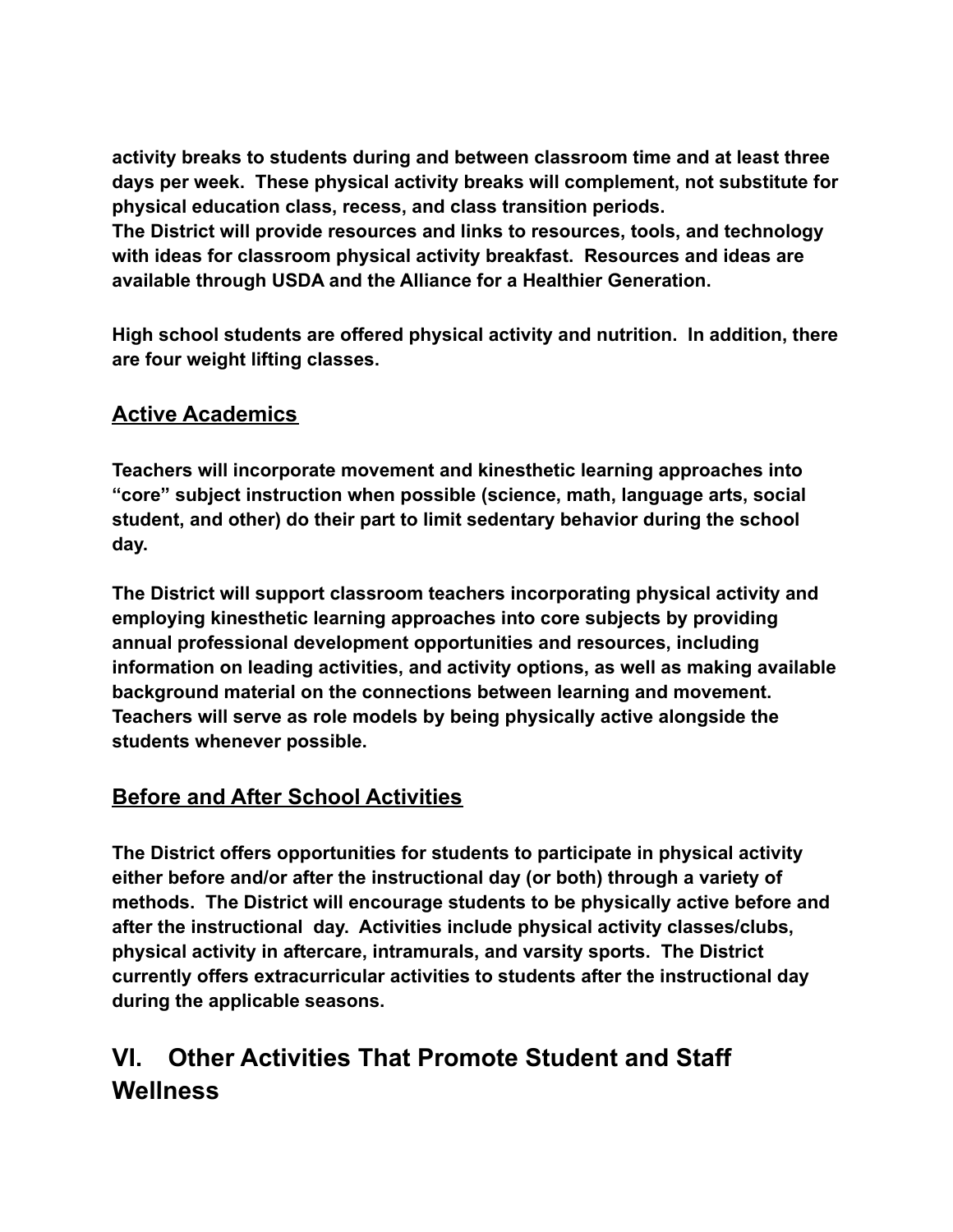**activity breaks to students during and between classroom time and at least three days per week. These physical activity breaks will complement, not substitute for physical education class, recess, and class transition periods. The District will provide resources and links to resources, tools, and technology with ideas for classroom physical activity breakfast. Resources and ideas are available through USDA and the Alliance for a Healthier Generation.**

**High school students are offered physical activity and nutrition. In addition, there are four weight lifting classes.**

# **Active Academics**

**Teachers will incorporate movement and kinesthetic learning approaches into "core" subject instruction when possible (science, math, language arts, social student, and other) do their part to limit sedentary behavior during the school day.**

**The District will support classroom teachers incorporating physical activity and employing kinesthetic learning approaches into core subjects by providing annual professional development opportunities and resources, including information on leading activities, and activity options, as well as making available background material on the connections between learning and movement. Teachers will serve as role models by being physically active alongside the students whenever possible.**

# **Before and After School Activities**

**The District offers opportunities for students to participate in physical activity either before and/or after the instructional day (or both) through a variety of methods. The District will encourage students to be physically active before and after the instructional day. Activities include physical activity classes/clubs, physical activity in aftercare, intramurals, and varsity sports. The District currently offers extracurricular activities to students after the instructional day during the applicable seasons.**

# **VI. Other Activities That Promote Student and Staff Wellness**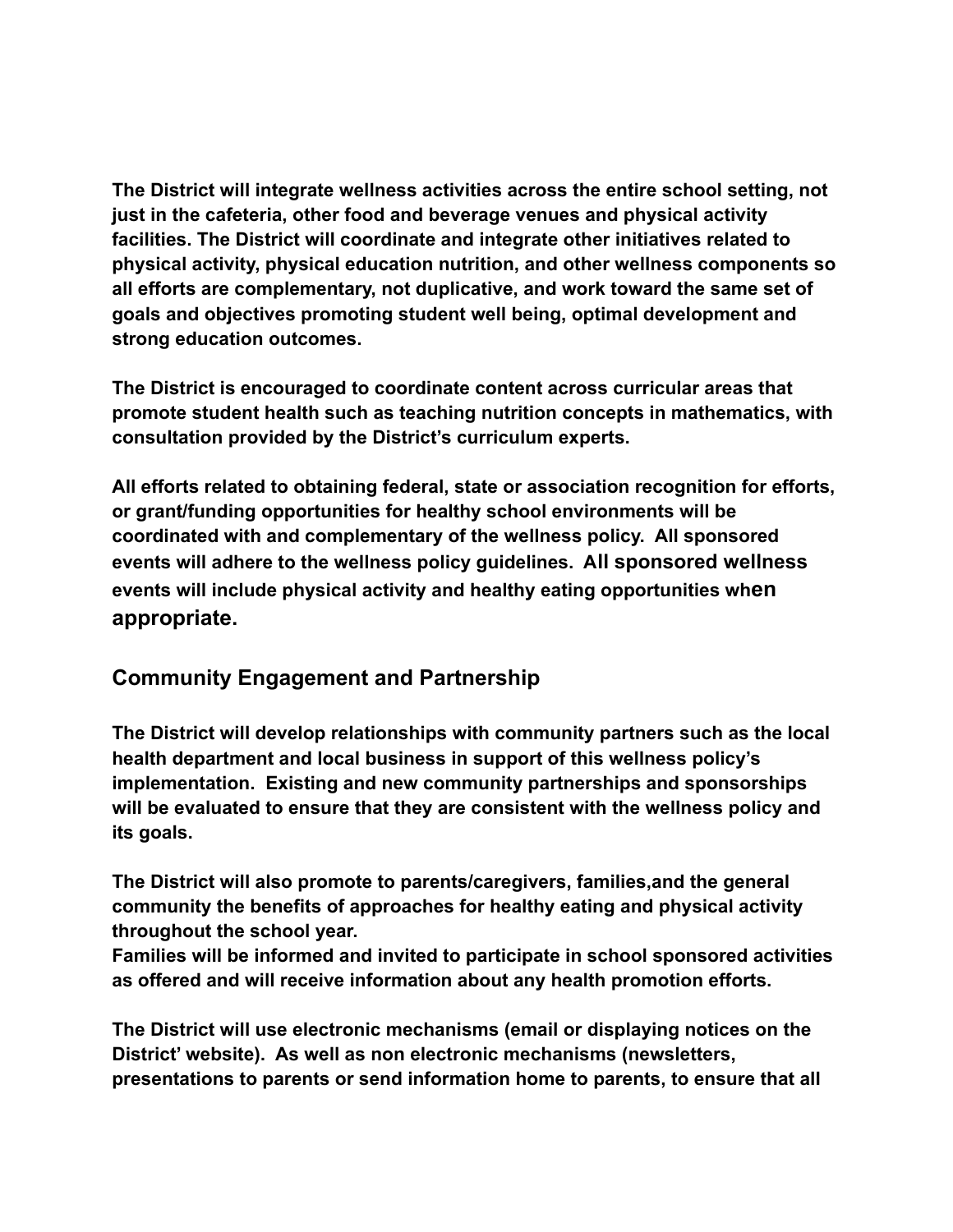**The District will integrate wellness activities across the entire school setting, not just in the cafeteria, other food and beverage venues and physical activity facilities. The District will coordinate and integrate other initiatives related to physical activity, physical education nutrition, and other wellness components so all efforts are complementary, not duplicative, and work toward the same set of goals and objectives promoting student well being, optimal development and strong education outcomes.**

**The District is encouraged to coordinate content across curricular areas that promote student health such as teaching nutrition concepts in mathematics, with consultation provided by the District's curriculum experts.**

**All efforts related to obtaining federal, state or association recognition for efforts, or grant/funding opportunities for healthy school environments will be coordinated with and complementary of the wellness policy. All sponsored events will adhere to the wellness policy guidelines. All sponsored wellness events will include physical activity and healthy eating opportunities when appropriate.**

# **Community Engagement and Partnership**

**The District will develop relationships with community partners such as the local health department and local business in support of this wellness policy's implementation. Existing and new community partnerships and sponsorships will be evaluated to ensure that they are consistent with the wellness policy and its goals.**

**The District will also promote to parents/caregivers, families,and the general community the benefits of approaches for healthy eating and physical activity throughout the school year.**

**Families will be informed and invited to participate in school sponsored activities as offered and will receive information about any health promotion efforts.**

**The District will use electronic mechanisms (email or displaying notices on the District' website). As well as non electronic mechanisms (newsletters, presentations to parents or send information home to parents, to ensure that all**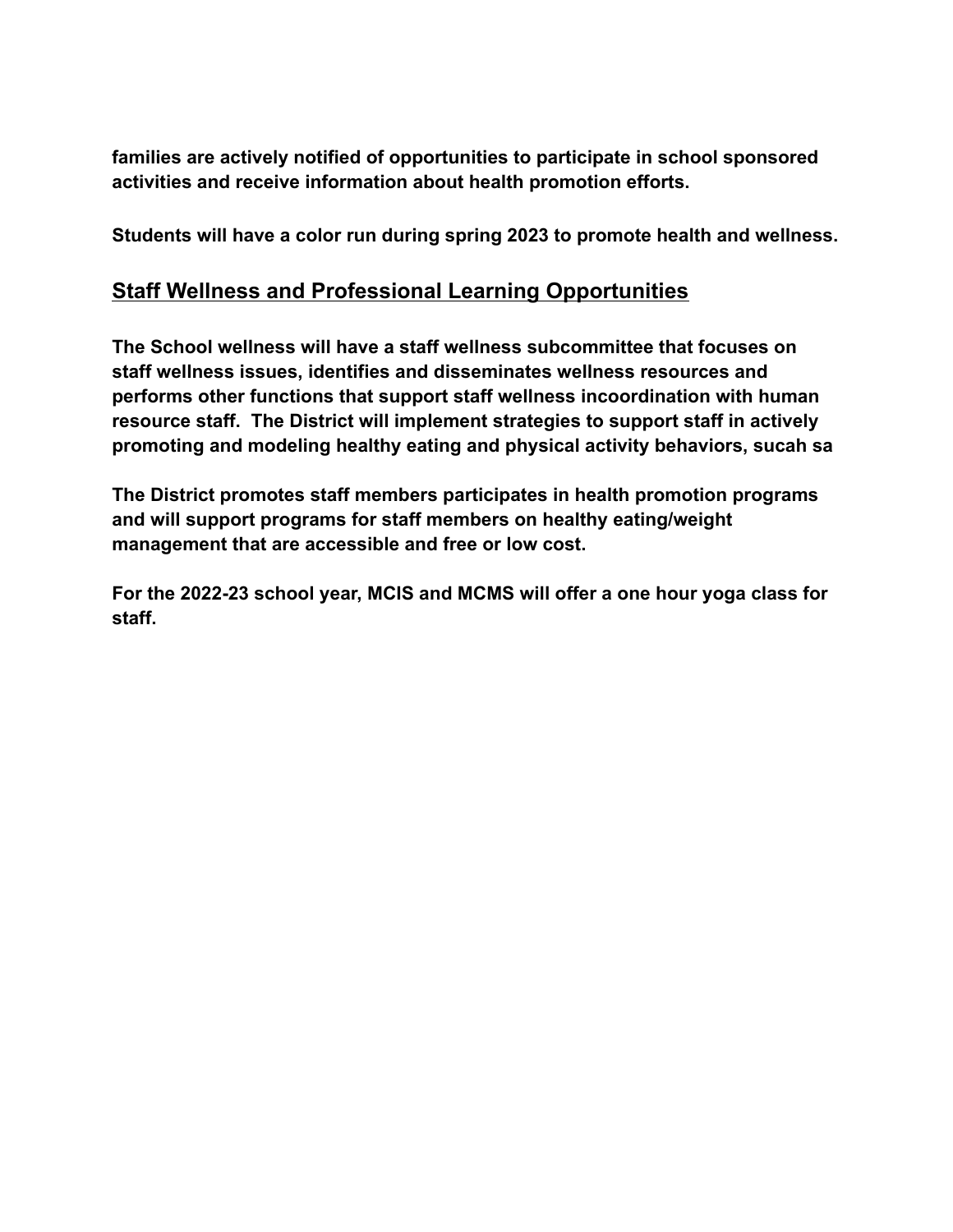**families are actively notified of opportunities to participate in school sponsored activities and receive information about health promotion efforts.**

**Students will have a color run during spring 2023 to promote health and wellness.**

#### **Staff Wellness and Professional Learning Opportunities**

**The School wellness will have a staff wellness subcommittee that focuses on staff wellness issues, identifies and disseminates wellness resources and performs other functions that support staff wellness incoordination with human resource staff. The District will implement strategies to support staff in actively promoting and modeling healthy eating and physical activity behaviors, sucah sa**

**The District promotes staff members participates in health promotion programs and will support programs for staff members on healthy eating/weight management that are accessible and free or low cost.**

**For the 2022-23 school year, MCIS and MCMS will offer a one hour yoga class for staff.**